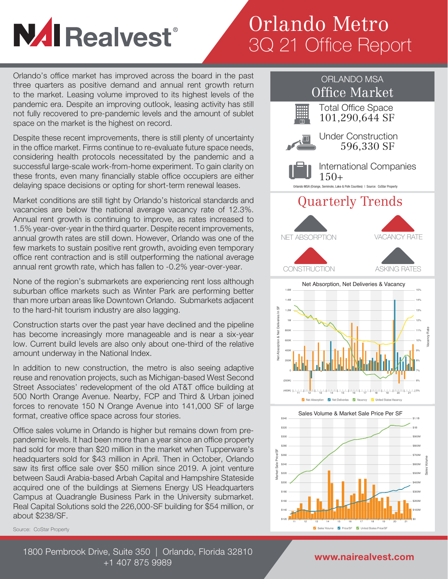# **NAI Realvest®**

## Orlando Metro 3Q 21 Office Report

Orlando's office market has improved across the board in the past three quarters as positive demand and annual rent growth return to the market. Leasing volume improved to its highest levels of the pandemic era. Despite an improving outlook, leasing activity has still not fully recovered to pre-pandemic levels and the amount of sublet space on the market is the highest on record.

Despite these recent improvements, there is still plenty of uncertainty in the office market. Firms continue to re-evaluate future space needs, considering health protocols necessitated by the pandemic and a successful large-scale work-from-home experiment. To gain clarity on these fronts, even many financially stable office occupiers are either delaying space decisions or opting for short-term renewal leases.

Market conditions are still tight by Orlando's historical standards and vacancies are below the national average vacancy rate of 12.3%. Annual rent growth is continuing to improve, as rates increased to 1.5% year-over-year in the third quarter. Despite recent improvements, annual growth rates are still down. However, Orlando was one of the few markets to sustain positive rent growth, avoiding even temporary office rent contraction and is still outperforming the national average annual rent growth rate, which has fallen to -0.2% year-over-year.

None of the region's submarkets are experiencing rent loss although suburban office markets such as Winter Park are performing better than more urban areas like Downtown Orlando. Submarkets adjacent to the hard-hit tourism industry are also lagging.

Construction starts over the past year have declined and the pipeline has become increasingly more manageable and is near a six-year low. Current build levels are also only about one-third of the relative amount underway in the National Index.

In addition to new construction, the metro is also seeing adaptive reuse and renovation projects, such as Michigan-based West Second Street Associates' redevelopment of the old AT&T office building at 500 North Orange Avenue. Nearby, FCP and Third & Urban joined forces to renovate 150 N Orange Avenue into 141,000 SF of large format, creative office space across four stories.

Office sales volume in Orlando is higher but remains down from prepandemic levels. It had been more than a year since an office property had sold for more than \$20 million in the market when Tupperware's headquarters sold for \$43 million in April. Then in October, Orlando saw its first office sale over \$50 million since 2019. A joint venture between Saudi Arabia-based Arbah Capital and Hampshire Stateside acquired one of the buildings at Siemens Energy US Headquarters Campus at Quadrangle Business Park in the University submarket. Real Capital Solutions sold the 226,000-SF building for \$54 million, or about \$238/SF.

Source: CoStar Property